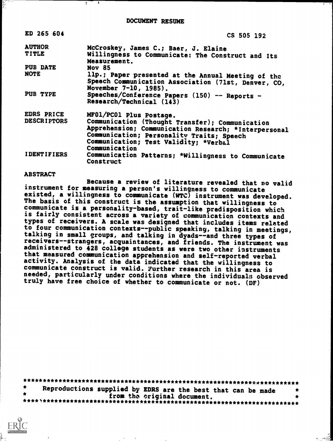DOCUMENT RESUME

ŧ

| ED 265 604                       | CS 505 192                                                                                                                                                                                                                                |
|----------------------------------|-------------------------------------------------------------------------------------------------------------------------------------------------------------------------------------------------------------------------------------------|
| <b>AUTHOR</b><br><b>TITLE</b>    | McCroskey, James C.; Baer, J. Elaine<br>Willingness to Communicate: The Construct and Its<br>Measurement.                                                                                                                                 |
| PUB DATE<br><b>NOTE</b>          | Nov $85$<br>11p.; Paper presented at the Annual Meeting of the<br>Speech Communication Association (71st, Denver, CO,<br>November 7-10, 1985).                                                                                            |
| PUB TYPE                         | Speeches/Conference Papers (150) -- Reports -<br>Research/Technical (143)                                                                                                                                                                 |
| EDRS PRICE<br><b>DESCRIPTORS</b> | MF01/PC01 Plus Postage.<br>Communication (Thought Transfer); Communication<br>Apprehension; Communication Research; *Interpersonal<br>Communication; Personality Traits; Speech<br>Communication; Test Validity; *Verbal<br>Communication |
| <b>IDENTIFIERS</b>               | Communication Patterns; *Willingness to Communicate<br>Construct                                                                                                                                                                          |

### **ABSTRACT**

Because a review of literature revealed that no valid instrument for measuring a person's willingness to communicate existed, a willingness to communicate (WTC) instrument was developed. The basis of this construct is the assumption that willingness to communicate is a personality-based, trait-like predisposition which is fairly consistent across a variety of communication contexts and types of receivers. A scale was designed that includes items related to four communication contexts--public speaking, talking in meetings, talking in small groups, and talking in dyads--and three types of receivers--strangers, acquaintances, and friends. The instrument was administered to 428 college students as were two other instruments that measured communication apprehension and self-reported verbal activity. Analysis of the data indicated that the willingness to communicate construct is valid. Further research in this area is needed, particularly under conditions where the individuals observed truly have free choice of whether to communicate or not. (DF)

| Reproductions supplied by EDRS are the best that can be made | $\star$ |
|--------------------------------------------------------------|---------|
| from the original document.                                  |         |
|                                                              |         |

اأيجب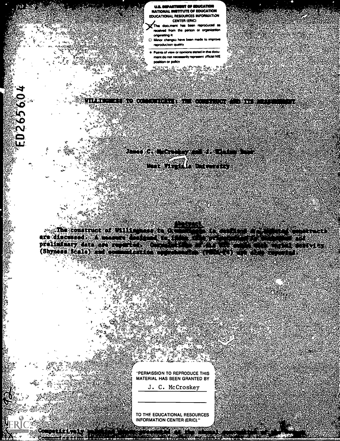#### U.S. SEPARTMENT OF EDUCATION<br>NATIONAL INSTITUTE OF EDUCATION EDUCATIONAL RESOURCES INFORMATION CENTER (ERIC)

This document has been reproduced as received from the person or organization originating it

فيميته

**meticimas** 

象色物

4

**ED26560** 

- [] Minor changes have been made to improve reproduction quality
- . Points of view or opinions stated in this document do not necessarily represent official NIE

position or policy A A RA

 $\rightarrow$ 

73. TYDD

HARRY AND ROOM THAT HE WAS THE THE REAL PROPERTY. and the Length of the Company

**LORD TO MARKET** 

T. The construct of All Considered to rediction and the second second en de Bronne de Cine<br>Algebra de Cinematoria<br>Romano de Cinematoria y a bogynna. **大人 うた**  $383.5$ 深草

> "PERMISSION TO REPRODUCE THIS MATERIAL HAS BEEN GRANTED BY

> > J. C. McCroskey

TO THE EDUCATIONAL RESOURCES **INFORMATION CENTER (ERIC)."**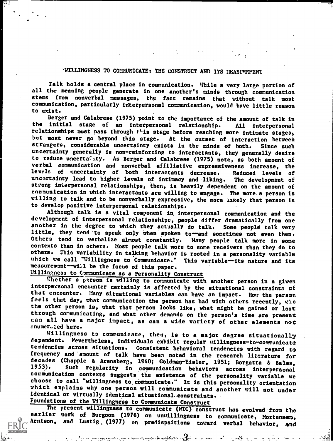# 'WILLINGNESS TO COMMUNICATE: THE CONSTRUCT AND ITS MEASUREMENT

Talk holds a central place in communication. While a very large portion of all the meaning people generate in one another's minds through communication stems from nonverbal messages, the fact remains that without talk most communication, particularly interpersonal communication, would have little reason to exist.

Berger and Calabrese (1975) point to the importance of the amount of talk in the initial stage of an interpersonal relationship. All interpersonal relationships must pass through  $t$ -is stage before reaching more intimate stages, but most never go beyond this stage. At the outset of interaction between strangers, considerable uncertainty exists in the minds of both. Since such uncertainty generally is non-reinforcing to interactants, they generally desire to reduce uncertainty. As Berger and Calabrese (1975) note, as both amount of verbal communication and nonverbal affiliative expressiveness increase, the levels of uncertainty of both interactants decrease. Reduced levels of uncertainty lead to higher levels of intimacy and liking. The development of strong interpersonal relationships, then, is heavily dependent on the amount of communication in which interactants are willing to engage. The more.a person is willing to talk and to be nonverbally expressive, the more likely that person is to develop positive interpersonal relationships.

Although talk is a vital component in, interpersonal communication and the development of interpersonal relationships, people differ dramatically from one another in the degree to which they actually do talk. Some people talk very little, they tend to speak only when spoken to -- and sometimes not even then. Others tend to verbalize almost constantly. Many people talk more in some contexts than in others. Most people talk more to some receivers than they do to others. This variability in talking behavior is rooted in a personality variable which we call "Willingness to Communicate." This variable--its nature and its measurement-will be the focus of this paper.

Willingness to Communicate as a Personality Construct

 $\mathbb{F}_\lambda$ 

Whether a person is willing to communicate with another person in a given interpersonal encounter certainly is affected by the situational constraints of that encounter. Many situational variables can have an impact. How the person feels that day, what communication the person has had with others recently, who the other person is, what that person looks like, what might be gained or lost through communicating, and what other demands on the person's time are present can all have a major impact, as can a wide variety of other elements not enumer.ted here.

Willingness to communicate, then, is to a major degree situationally dependent. Nevertheless, individuals exhibit regular willingness-to-communicate tendencies across situations. Consistent behavioral tendencies with regard to frequency and amount of talk have been noted in the research literature for decades (Chapple & Arensberg, 1940; Goldman-Eisler, 1951; Borgatta & Bales,<br>1953). Such regularity in communication behaviors serges intersected. Such regularity in communication behaviors across interpersonal communication contexts suggests the existence of the personality variable we choose to call "willingness to communicate." It is this personality orientation which explains why one person will communicate and another will not under identical or virtually identical situational-constraints. Foundations of the Willingness to Communicate Construct

The present willingness to communicate (WTC) construct has evolved from the earlier work of Burgoon (1976) on unwillingness to communicate, Mortensen, Arntson, and Lustig, (1977) on predispsitions toward verbal behavior, and

المرشي يراسران وفعيل المارا السابرات تلافى للمعاونية مستعانا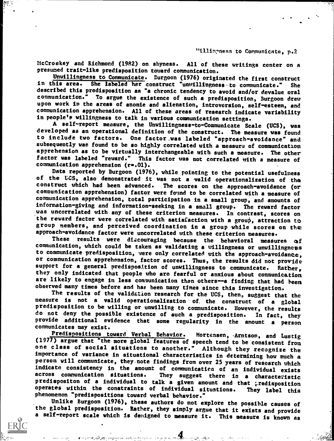McCroskey and Richmond (1982) on shyness. All of these writings center on a presumed trait-like predisposition toward communication.

Unwillingness to Communicate. Burgoon (1976) originated the first construct in this area. She labeled her construct "unwillingness.to communicate." She described this predisposition as "a chronic tendency to avoid and/or devalue oral communication." To argue the existence of such a predisposition, Burgoon drew upon work in the areas of anomie and alienation, introversion, self-esteem, and communication apprehension. All of these areas of research indicate variability in people's willingness to talk in various communication settings.

A self-report measure, the Unwillingness-to-Communicate Scale (UCS), was developed as an operational definition of the construct. The measure was found to include two factors. One factor.was labeled "approach-avoidance" and subsequently was found to be so highly correlated with a measure of communication apprehension as to be virtually interchangeable with such a measure. The other factor was labeled "reward." This factor was not correlated with a measure of communication apprehension (r=.01).

Data reported by Burgoon (1976), while pointing to the potential usefulness of the UCS, also demonstrated it was not a valid operationalization of tha construct which had been advanced. The scores on the approach-avoidance (or communication apprehension) factor were found to be correlated with a measure of communication apprehension, total participation in a small group, and amounts of information-giving and information-seeking in a small group. The reward factor was uncorrelated with any of these criterion measures. In contrast, scores on the reward factor were correlated with satisfaction with a group, attraction to group members, and perceived coordination in a group 'while scores on the approach-avoidance factor were uncorrelated with these criterion measures.

These results were dizcouraging because the behavioral measures of communication, which could be taken as validating a willingness or unwillingness to communicate predisposition, were only correlated with the approach-avoidance, or communication apprehension, factor scores. Thus, the results did not provide support for a general predisposition of unwillingness to communicate. Rather, they only indicated that people who are fearful or anxious about communication are likely to engage in less communication than others--a finding that had been observed many times before and has been many times since this investigation.

The results of the validation research for the UCS, then, suggest that the measure is not a valid operationalization of the construct of a global predisposition to be willing or unwilling to communicate. However, the results do not deny the possible existence of such a predisposition. In fact, they provide additional evidence that some regularity in the amount <sup>a</sup> person communicates may exist.

Predispositions toward Verbal Behavior. Mortensen, Arntson, and Lustig (1977) argue that "the more global features of speech tend to be consistent from one class of social situations to another." Although they recognize the importance of variance in situational characteristics in determining how much a person will communicate, they note findings from over 25 years of research which indicate consistency in the amount of communication of an individual exists across communication situations. They suggest there is a characteristic They suggest there is a characteristic predispositon of a individual to talk a given amount and that  $\varphi$ redisposition operates within the constraints of individual situations. They label this phenomenon "predispositions toward verbal behavior."

Unlike Burgoon (1976), these authors do not explore the possible causes of the global predisposition. Rather, they simply argue that it exists and provide a self-report scale which is designed to measure it. This measure is known as

where  $\frac{1}{2}$  is the compact of the compact of  $\boldsymbol{A}$  , where  $\boldsymbol{A}$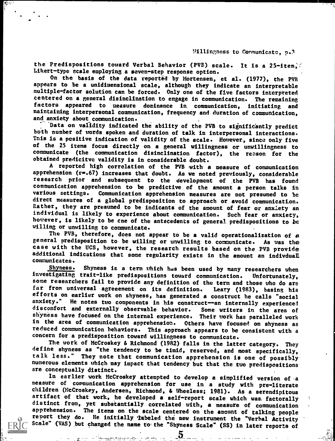the Predispositions toward Verbal Behavior (PVB) scale. It is a 25-item, Likert-type scale employing a seven-step response option.

惑行

On the basis of the data reported by Mortensen, et al. (1977), the PVB appears to be a unidimensional scale, although they indicate an interpretable multiple-factor solution can be forced. Only one of the five factors interpreted centered on a general disinclination to engage in communication. The remaining factors appeared to measure dominance in. communication, initiating and maintaining interpersonal communication, frequency and duration of communication, and anxiety about communication.

Data on validity indicated the ability of the PVB to significantly predict both number of words spoken and duration of talk in interpersonal interactions. Tnis is a positive indication of validity of the scale. However, since only five of the 25 items focus directly on a general willingness or unwillingness to communicate (the communication disinclination factor), the reason for the obtained predicitve validity is in considerable doubt.

A reported high correlation of the PVB with a measure of communication apprehension (r=.67) increases that doubt. As we noted previously, considerable research prior and subsequent to the development of the PVB has found communication apprehension to be predictive of the amount a person talks in various settings. Communication apprehension measures are not presumed to be direct measures of a global predisposition to approach or avoid communication. Rather, they are presumed to be indicants of the amount of fear or anxiety an individual is likely to experience about communication. Such fear or anxiety, however, is likely to be cne of the antecedents of general predispositions to be willing or unwilling to communicate.

The PVB, therefore, does not appear to be a valid operationalization of a general predisposition to be willing or unwilling to communicate. As was the case with the UCS, however, the research results based on the PVB provide additional indications that some regularity exists in the amount an indivdual! communicates.

Shyness. Shyness is a term which has been used by many researchers when investigating trait-like predispositions toward communication. Unfortunately, some researchers fail to provide any definition of the term and those who do are far from universal agreeement on its definition. Leary (1983), basing his efforts on earlier work on shyness, has generated a construct he calls "social anxiety." He notes two components in his construct--an internally experienced discomfort and externally observable behavior. Some writers in the area of shyness have focused on the internal experience. Their work has paralleled work in the area of communication apprehension. Others have focused on shyness as reduced communication behaviors. This approach appears to be consistent with <sup>a</sup> concern for a predisposition toward willingness to communicate.

The work of McCroskey & Richmond (1982) falls in the latter category. They define shyness as "the tendency to be timid, reserved, and most specifically, talk less." They note that communication apprehension is one of possibly numerous elements which may impact that tendency but that the two predispositions are conceptually distinct.

In earlier work McCroskey attempted to develop a simplified version of a measure of communication apprehension for use in a study with pre-literate children (McCroskey, Andersen, Richmond, & Wheeless; 1981). As a serendipitous artifact of that work, he developed a self-report scale which was: factorally distinct from, yet substantially correlated with, a measure of communication apprehension. The items on the scale centered on the amount of talking people report they do. He initially labeled the new instrument the "Verbal Activity Scale" (VAS) but changed the name to the "Shyness Scale" (SS) in later reports of

الوارا والوسيد والتأويد البيار

, and the contribution of the contribution of  $\delta$  , where  $\beta$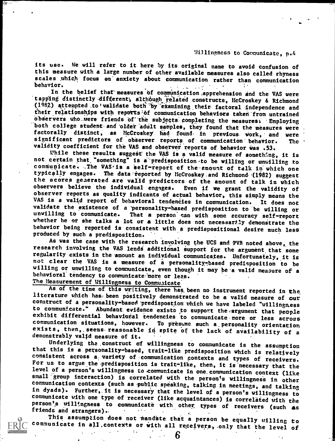its use. We will refer to it here by its original name to avoid confusion of this measure with a large number of other available measures also called shyness scales which focus on' anxiety about communication rather than communication behavior.  $\sigma$  , and a set of  $\sigma$  , and  $\sigma$ 

In the belief that measures of communication apprehension and the VAS were tapping distinctly different, although related constructs, McCroskey & Richmond (1982) attempted to validate both by examining their factoral independence and their relationships with reports of communication behaviors taken from untrained observers who were friends of the subjects completing the measures: Employing<br>both college student and older adult samples, they found that the measures were factorally distinct, as McCroskey had found in previous work, and were significant predictors of observer reports of communication behavior. The validity coefficient for the VAS and observer reports of behavior was .53.

While these results suggest the VAS is a valid measure of something, it is not certain that "something" is a predisposition to be willing or unwilling to communicate. The VAS is a self-report of the emount of talk in which one<br>typically engages. The data reported by HeCroskey and Richmond (1982) suggest The data reported by HcCroskey and Richmond (1982) suggest the scores generated are valid predictors of the amount of talk in which observers believe the individual engages. Even if we grant the validity of observer reports as quality indicants of actual behavior, this simply means the VAS is a valid report of behavioral tendencies in communication. It does not validate the existence of a personality-based predisposition to be willing or unwilling to communicate. That a person can with some accuracy self-report That a person can with some eccuracy self-report whether he or she talks a lot or a little does not necessar?ly demonstrate the behavior being reported is consistent with a predispositional desire much less produced by such a predisposition.

As was the case with the research involving the UCS and PVB noted above, the research involving the VAS lends additional support for the argument that some<br>regularity exists in the amount an individual communicates. Unfortunately, it is not clear the VAS is a measure of a personality-based predisposition to be willing or unwilling to communicate, even though it may be'a valid measure of a behavioral tendency to communicate more or leas. The Measurement of Willingness to Communicate

As of the time of this writing, there has been no instrument reported in the literature which has been positively demonstrated to be a valid measure of our<br>construct of a personality-based predispostion which we have labeled "willingness to communicate." Abundant evidence exists to support the argument that people exhibit differential behavioral tendencies to communicate more or less across communication situations, however. To presume such a.personality orientation exists, then, seems reasonable in spite of the lack of availability of a demonstrably valid measure of it.

Underlying tha.construct of willingness to communicate is the assumption that this is a personality-based, trait-like predisposition which is relatively consistent across a variety of communication contexts and types of receivers.<br>For us to argue the predisposition is trait-like, then, it is necessary that the level of a person's willingness to communicate in one communication context (like small group interaction) is correlated with the person's willingness in other communication contexts (such as public speaking, talking in meetings, and talking in dyads). Further, it is necessary that the level of a person's willingness to communicate with one type of receiver (like acquaintances) is correlated with the person's willingness to communicate with other types of receivers (such as friends and strangers).<br>
This assumption does not mandate that a person be equally willing to

Ķ

communicate in all contexts or with all receivers, only that the level of

6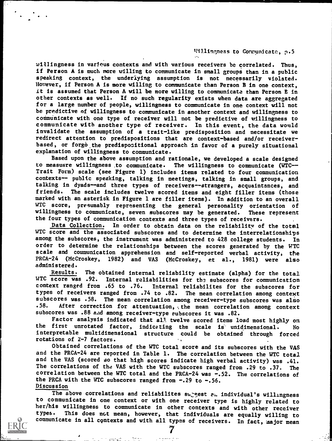willingness in varleus contexts and with various receivers be correlated. Thus, if Person A is much more willing to communicate in small groups than in a public speaking context, the underlying assumption is not necessarily violated. However, if Person A is more willing to communicate than Person B in one context, it is assumed that Person A will be more willing to communicate than Person E in other contexts as well. If no such regularity exists when data are aggregated for a large number of people, willingness to communicate in one context will not be predictive of willingness to communicate in another context and willingness to communicate with one type of receiver will not be predictive of willingness to communicate with another type of receiver. In this event, the data would invalidate the assumption of a trait-like predisposition and necessitate we redirect attention to predispositions that are context-based and/or receiverbased, or forgo the predispositional approach in favor of a purely situational explanation of willingness to communicate.

Based upon the above assumption and rationale, we developed a scale designed to measusre willingness to communicate. The willingness to communicate (WTC-- Trait Form) scale (see Figure 1) includes items related to four communication contexts-- public speaking, talking in meetings, talking in small groups, and talking in dyads--and three types of receivers--strangers, acquaintances, and<br>friends. The scale includes twelve scored items and eight filler items (those The scale includes twelve scored items and eight filler items (those marked with an asterisk in Figure 1 are filler items). In addition to an overall WTC score, presumably representing the general personality orientation of willingness to communicate, seven subscores may be generated. These represent the four types of communication contexts and three types of receivers.

Data Collection. In order to obtain data on the reliability of the total WTC score and the associated subscores and to determine the interrelationships among the subscores, the instrument was administered to 428 college students. In order to determine the relationships between the scores generated by the WTC scale and communication apprehension and self-reported verbal activity, the PRCA-24 (McCroskey, 1982) and VAS (McCroskey, et al., 1981) were also administered.

Results. The obtained internal reliability estimate (alpha) for the total WTC score was .92. Internal reliabilities for the subscores for communication WTC score was .92. Internal reliabilities for the subscores for communication context ranged from .65 to .76. Internal reliabilites for the subscores for Internal reliabilites for the subscores for types of receivers ranged from .74 to .82. The mean correlation among context subscores was .58. The mean correlation among receiver-type subscores was also<br>.58. After correction for attentuation, the mean correlation among context After correction for attentuation, the mean correlation among context subscores was .88 aad among receiver-type subscores it was .82.

Factor analysis indicated that all twelve scored items load most highly on the first unrotated factor, indiceting the scale is unidimensional. No interpretable multidimensional structure could be obtained through forced rotations of 2-7 factors.

Obtained correlations of the WTC total score and its subscores with the VAS and the PRCA-24 are reported in Table 1. The correlation between the WTC total and the VAS (scored so that high scores indicate high verbal activity) was .41. The correlations of the VAS with the WTC subscores ranged from .29 to .37. The correlation between the WTC total and the PRCA-24 was -.52. The correlations of the PRCA with the WTC subscores ranged from  $-.29$  to  $-.56$ . Discussion

The above correlations and reliabilites suggest an individual's willingness to communicate in one context or with one receiver type is highly related to her/his willingness to communicate in other contexts and with other receiver<br>types. This does not mean, however, that individuals are consily willing to This does not mean, however, that individuals are equally willing to communicate in all contexts and with all types of receivers. In fact, major mean

7

any t

ن<br>ای ر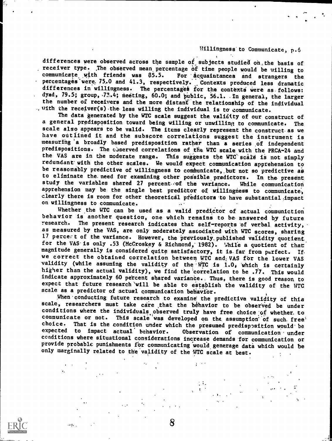المتعاقبة

differences were observed across the sample of subjects studied on the basis of receiver type. The observed mean percentage of time people would be willing to receiver type. The observed means of the observed means of the communicate with friends was 85.5. For Acquaintances and strangers the percentages'were:75.0 and 41.3, respectively. Contexts produced less dramatic differences in willingness. The percentages for the contexts were as follows: dyad, 79.5; group, 73.4; meeting, 60.0; and public, 56.1. In general, the larger the number of receivers and the more distant the relationship of the individual with the receiver(s).the less willing the individual is to' communicate.

The data generated by the WTC scale suggest the validity of our construct of a general predisposition toward being willing or unwilling to communicate. The scale also appears to be valid. The items clearly represent the construct. as we have outlined it and the subscore correlations suggest the instrument is measuring 'a broadly based predisposition rather than a series of independent predispositions. The observed correlations of the WTC scale with the PRCA-24 and the VAS are in the moderate range. This suggests the WIC scale is not simply redundant with the other scales. We would expect communication apprehension to be reasonably predictive of willingness to communicate, but not so predictive as to eliminate the need for examining other possible predictors. In the present study the variables shared 27 percent of the variance. While communication apprehension may be the single best predictor of willingness to communicate, clearly there is room for other theoretical predictors to have substantial impact on willingness to communicate.

Whether the WTC can be used as a valid predictor of actual communiction behavior is another question, one which remains to be answered by future research. The present research indicates that self-reports of verbal activity research. The present research indicates that self-reports of verbal activity,<br>as measured by the VAS, are only moderately associated with WTC scores, sharing 17 percett of the variance. However, the previously published validity quotient for the VAS is only .53 (McCroskey & Richmond, 1982). While a quotient of that magnitude generally is considered quite satisfactory, it is.far from perfect. If we correct the obtained correlation between WTC and: VAS for the lower VAS validity (while assuming the validity of the WTC is 1.0, which is certainly higher than the actual validity), we find the' correlation to be .77. This would indicate approximately 60 percent shared variance.. Thus, there is good reason to expect that future research'will be able to establish the validity of the WTC scale as a predictor of actual communication behavior.

When conducting future research to examine the predictive validity of this scale, researchers must take care that the behavior to be observed be under conditions where the individuals observed truly have free choice  $\alpha$ f whether to communicate or not. This scale was developed on the assumption of such free' choice. That is the condition under which the presumed predisposition would be<br>expected to impact actual behavior. Observation of communication under Observation of communication under conditions where situational considerations increase demands for communication or provide probable punishments for communicating would generage data which would be only marginally related to the validity of the WTC scale at best.

8



 $\ldots$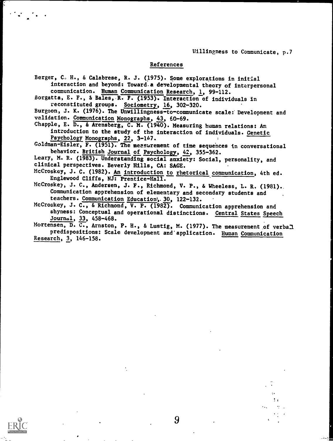#### References

Berger, C., H., & Calabrese, R. J. (1975). Some explorations in initial interaction and beyond: Toward.a developmental theory of interpersonal communication. Human Communication Research, 1, 99-112.

Borgatta, E. F., & Bales, R. F. (1953). Interaction of individuals in reconstituted groups. Sociometry, 16, 302-320.

Burgoon, J. K. (1976). The Unwillingness-to-communicate scale: Development and validation. Communication Monographs, 43, 60-69.

Chapple, E. D., & Arensberg, C. M. (1940). Measuring human relations: An introduction to the study of the interaction of individuals. Genetic Psychology Monographs, 22, 3-147.

Goldman-Eisler, F. (1951). The measurement of time sequences in conversational behavior. British Journal of Psychology, 42, 355-362.

Leary, M. R. (1983). Understanding social anxiety: Social, personality, and clinical perspectives. Beverly Hills, CA: SAGE.

McCroskey, J. C. (1982). An introduction to rhetorical communication, 4th ed. Englewood Cliffs, NJ: Prentice-Hall.

McCroskey, J. C., Andersen, J. F., Richmond, V. P., & Wheeless, L. R. (1981). Communication apprehension of elementary and secondary students and teachers. Communication Educationi,.30, 122-132.

McCroskey, J. C., & Richmond, V. P. (1982). Communication apprehension and shyness: Conceptual and operational distinctions. Central States Speech Journal, 33, 458-468.

Mortensen, D. C., Arnston, P. H., & Lustig, M. (1977). The measurement of verbal predispositions: Scale development and' application. Human Communication Research, 3, 146-158.

9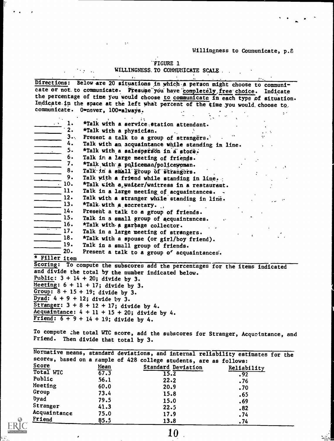, s.e.  $\sim$ 

# "FIGURE 1

 $\cdot$ 

 $\ddot{\phantom{a}}$  .

# WILLINGNESS. TO COMMUNICATE SCALE . . .

Directions: Below are 20 situations in which a person might choose to communicate or not. to communicate. Presume you have completely, free choice. Indicate the percentage of time you would choose to communicate in each type of situation. Indicate-in the space at the left what percent of the time you would choose to communicate.  $0$ =never,  $100$ =always. communicate. 0=never, 100=always.  $\sim 10^{-10}$  km s  $^{-1}$  $\sim$  $\Delta \sim 1$ 

|                    | $\mathbf{u}$                                                                  |
|--------------------|-------------------------------------------------------------------------------|
| 1.                 | *Talk with a service station attendant.                                       |
| 2.                 | *Talk with a physician.                                                       |
| 3.                 | Present a talk to a group of strangers.                                       |
| 4.                 | Talk with an acquaintance while standing in line.                             |
| 5.                 | *Talk with a salesperson in a store.                                          |
| 6.                 | Talk in a large meeting of friends.                                           |
| 7.                 | *Talk with a policeman/policewoman.                                           |
| 8.                 | Talk in a small group of strangers.                                           |
| 9.                 | Talk with a friend while standing in line.                                    |
| $\overline{.}$ 10. | *Talk with a waiter/waitress in a restaurant.                                 |
| 11.                | Talk in a large meeting of acquaintances.                                     |
| 12.                | Talk with a stranger while standing in line.                                  |
| 13.                | *Talk with a secretary.                                                       |
| 14.                | Present a talk to a group of friends.                                         |
| 15.                | Talk in a small group of acquaintances.                                       |
| 16.                | *Talk with a garbage collector.                                               |
| 17.                | Talk in a large meeting of strangers.                                         |
| 18.                | *Talk with a spouse (or girl/boy friend).                                     |
| 19.                | Talk in a small group of friends.                                             |
| 20.                | Present a talk to a group of acquaintances.                                   |
| * Filler item      |                                                                               |
|                    | Scoring: To compute the subscores add the percentages for the items indicated |
|                    | and divide the total by the number indicated below.                           |
|                    | Public: $3 + 14 + 20$ ; divide by 3.                                          |
|                    | Meeting: $6 + 11 + 17$ ; divide by 3.                                         |
|                    | Group: $8 + 15 + 19$ ; divide by 3.                                           |
|                    | Dyad: $4 + 9 + 12$ ; divide by 3.                                             |
|                    | Stranger: $3 + 8 + 12 + 17$ ; divide by 4.                                    |
|                    | Acquaintance: $4 + 11 + 15 + 20$ ; divide by 4.                               |
|                    | Friend: $6 + 9 + 14 + 19$ ; divide by 4.                                      |
|                    |                                                                               |

To compute the total WTC score, add the subscores for Stranger, Acquaintance, and Friend. Then divide that total by 3.

|              |      |                                                                    | Normative means, standard deviations, and internal reliability estimates for the |
|--------------|------|--------------------------------------------------------------------|----------------------------------------------------------------------------------|
|              |      | scores, based on a sample of 428 college students, are as follows: |                                                                                  |
| Score        | Nean | <b>Standard Deviation</b>                                          | Reliability                                                                      |
| Total WTC    | 67.3 | 15.2                                                               | $\overline{.92}$                                                                 |
| Public       | 56.1 | 22.2                                                               | .76                                                                              |
| Meeting      | 60.0 | 20.9                                                               | .70                                                                              |
| Group        | 73.4 | 15.8                                                               | .65                                                                              |
| <b>Dyad</b>  | 79.5 | 15.0                                                               | .69                                                                              |
| Stranger     | 41.3 | 22.5                                                               | .82                                                                              |
| Acquaintance | 75.0 | 17.9                                                               | .74                                                                              |
| Friend       | 85.5 | 13.8                                                               | .74                                                                              |



 $10$ .